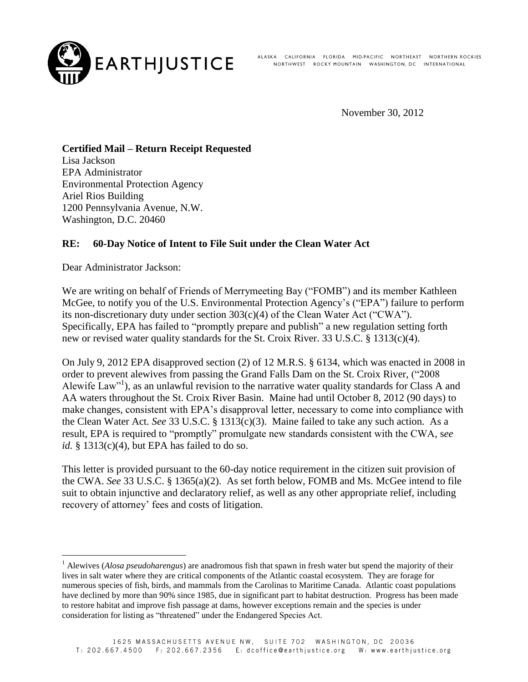

ALASKA CALIFORNIA FLORIDA MID-PACIFIC NORTHEAST NORTHERN-ROCKIES NORTHWEST ROCKY MOUNTAIN WASHINGTON, DC INTERNATIONAL

November 30, 2012

# **Certified Mail – Return Receipt Requested**

Lisa Jackson EPA Administrator Environmental Protection Agency Ariel Rios Building 1200 Pennsylvania Avenue, N.W. Washington, D.C. 20460

### **RE: 60-Day Notice of Intent to File Suit under the Clean Water Act**

Dear Administrator Jackson:

1

We are writing on behalf of Friends of Merrymeeting Bay ("FOMB") and its member Kathleen McGee, to notify you of the U.S. Environmental Protection Agency's ("EPA") failure to perform its non-discretionary duty under section 303(c)(4) of the Clean Water Act ("CWA"). Specifically, EPA has failed to "promptly prepare and publish" a new regulation setting forth new or revised water quality standards for the St. Croix River. 33 U.S.C. § 1313(c)(4).

On July 9, 2012 EPA disapproved section (2) of 12 M.R.S. § 6134, which was enacted in 2008 in order to prevent alewives from passing the Grand Falls Dam on the St. Croix River, ("2008 Alewife Law"<sup>1</sup>), as an unlawful revision to the narrative water quality standards for Class A and AA waters throughout the St. Croix River Basin. Maine had until October 8, 2012 (90 days) to make changes, consistent with EPA's disapproval letter, necessary to come into compliance with the Clean Water Act. *See* 33 U.S.C. § 1313(c)(3). Maine failed to take any such action. As a result, EPA is required to "promptly" promulgate new standards consistent with the CWA, s*ee id.* § 1313(c)(4), but EPA has failed to do so.

This letter is provided pursuant to the 60-day notice requirement in the citizen suit provision of the CWA. *See* 33 U.S.C. § 1365(a)(2). As set forth below, FOMB and Ms. McGee intend to file suit to obtain injunctive and declaratory relief, as well as any other appropriate relief, including recovery of attorney' fees and costs of litigation.

<sup>1</sup> Alewives (*Alosa pseudoharengus*) are anadromous fish that spawn in fresh water but spend the majority of their lives in salt water where they are critical components of the Atlantic coastal ecosystem. They are forage for numerous species of fish, birds, and mammals from the Carolinas to Maritime Canada. Atlantic coast populations have declined by more than 90% since 1985, due in significant part to habitat destruction. Progress has been made to restore habitat and improve fish passage at dams, however exceptions remain and the species is under consideration for listing as "threatened" under the Endangered Species Act.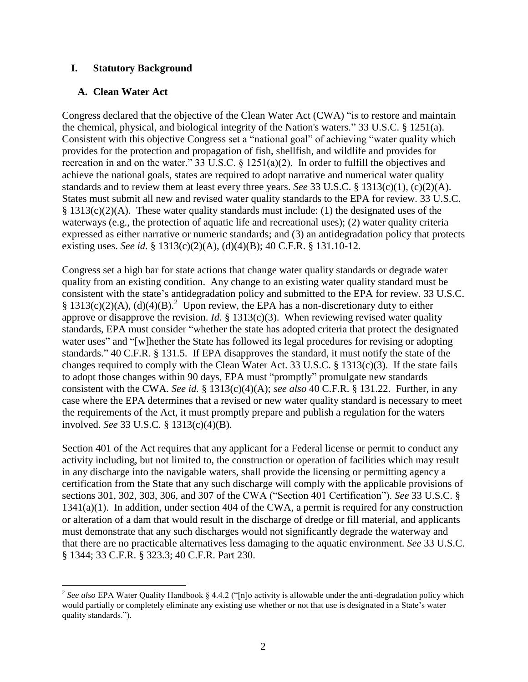### **I. Statutory Background**

### **A. Clean Water Act**

Congress declared that the objective of the Clean Water Act (CWA) "is to restore and maintain the chemical, physical, and biological integrity of the Nation's waters." 33 U.S.C. § 1251(a). Consistent with this objective Congress set a "national goal" of achieving "water quality which provides for the protection and propagation of fish, shellfish, and wildlife and provides for recreation in and on the water." 33 U.S.C. § 1251(a)(2). In order to fulfill the objectives and achieve the national goals, states are required to adopt narrative and numerical water quality standards and to review them at least every three years. *See* 33 U.S.C. § 1313(c)(1), (c)(2)(A). States must submit all new and revised water quality standards to the EPA for review. 33 U.S.C.  $§$  1313(c)(2)(A). These water quality standards must include: (1) the designated uses of the waterways (e.g., the protection of aquatic life and recreational uses); (2) water quality criteria expressed as either narrative or numeric standards; and (3) an antidegradation policy that protects existing uses. *See id.* § 1313(c)(2)(A), (d)(4)(B); 40 C.F.R. § 131.10-12.

Congress set a high bar for state actions that change water quality standards or degrade water quality from an existing condition. Any change to an existing water quality standard must be consistent with the state's antidegradation policy and submitted to the EPA for review. 33 U.S.C. § 1313(c)(2)(A), (d)(4)(B).<sup>2</sup> Upon review, the EPA has a non-discretionary duty to either approve or disapprove the revision. *Id.* § 1313(c)(3). When reviewing revised water quality standards, EPA must consider "whether the state has adopted criteria that protect the designated water uses" and "[w]hether the State has followed its legal procedures for revising or adopting standards." 40 C.F.R. § 131.5. If EPA disapproves the standard, it must notify the state of the changes required to comply with the Clean Water Act. 33 U.S.C. § 1313(c)(3). If the state fails to adopt those changes within 90 days, EPA must "promptly" promulgate new standards consistent with the CWA. *See id.* § 1313(c)(4)(A); *see also* 40 C.F.R. § 131.22. Further, in any case where the EPA determines that a revised or new water quality standard is necessary to meet the requirements of the Act, it must promptly prepare and publish a regulation for the waters involved. *See* 33 U.S.C*.* § 1313(c)(4)(B).

Section 401 of the Act requires that any applicant for a Federal license or permit to conduct any activity including, but not limited to, the construction or operation of facilities which may result in any discharge into the navigable waters, shall provide the licensing or permitting agency a certification from the State that any such discharge will comply with the applicable provisions of sections 301, 302, 303, 306, and 307 of the CWA ("Section 401 Certification"). *See* 33 U.S.C. § 1341(a)(1). In addition, under section 404 of the CWA, a permit is required for any construction or alteration of a dam that would result in the discharge of dredge or fill material, and applicants must demonstrate that any such discharges would not significantly degrade the waterway and that there are no practicable alternatives less damaging to the aquatic environment. *See* 33 U.S.C. § 1344; 33 C.F.R. § 323.3; 40 C.F.R. Part 230.

<sup>&</sup>lt;sup>2</sup> See also EPA Water Quality Handbook § 4.4.2 ("[n]o activity is allowable under the anti-degradation policy which would partially or completely eliminate any existing use whether or not that use is designated in a State's water quality standards.").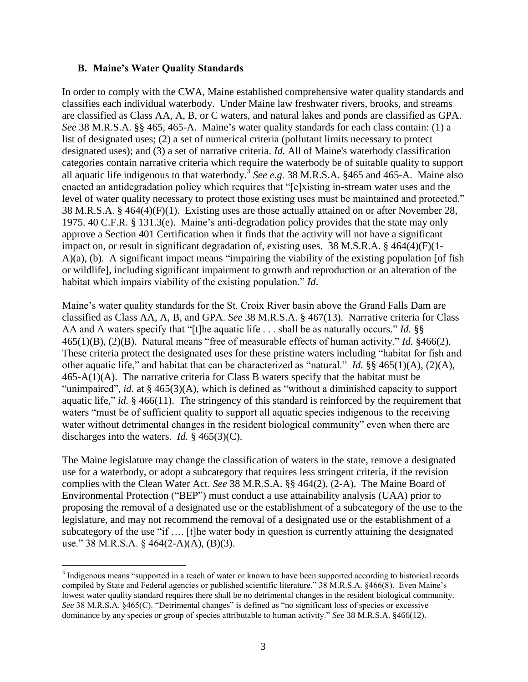### **B. Maine's Water Quality Standards**

In order to comply with the CWA, Maine established comprehensive water quality standards and classifies each individual waterbody. Under Maine law freshwater rivers, brooks, and streams are classified as Class AA, A, B, or C waters, and natural lakes and ponds are classified as GPA. *See* 38 M.R.S.A. §§ 465, 465-A. Maine's water quality standards for each class contain: (1) a list of designated uses; (2) a set of numerical criteria (pollutant limits necessary to protect designated uses); and (3) a set of narrative criteria. *Id.* All of Maine's waterbody classification categories contain narrative criteria which require the waterbody be of suitable quality to support all aquatic life indigenous to that waterbody.<sup>3</sup> See e.g. 38 M.R.S.A. §465 and 465-A. Maine also enacted an antidegradation policy which requires that "[e]xisting in-stream water uses and the level of water quality necessary to protect those existing uses must be maintained and protected." 38 M.R.S.A. § 464(4)(F)(1). Existing uses are those actually attained on or after November 28, 1975. 40 C.F.R. § 131.3(e). Maine's anti-degradation policy provides that the state may only approve a Section 401 Certification when it finds that the activity will not have a significant impact on, or result in significant degradation of, existing uses. 38 M.S.R.A. § 464(4)(F)(1- A)(a), (b). A significant impact means "impairing the viability of the existing population [of fish or wildlife], including significant impairment to growth and reproduction or an alteration of the habitat which impairs viability of the existing population." *Id*.

Maine's water quality standards for the St. Croix River basin above the Grand Falls Dam are classified as Class AA, A, B, and GPA. *See* 38 M.R.S.A. § 467(13). Narrative criteria for Class AA and A waters specify that "[t]he aquatic life . . . shall be as naturally occurs." *Id.* §§ 465(1)(B), (2)(B). Natural means "free of measurable effects of human activity." *Id.* §466(2). These criteria protect the designated uses for these pristine waters including "habitat for fish and other aquatic life," and habitat that can be characterized as "natural." *Id.* §§ 465(1)(A), (2)(A), 465-A(1)(A). The narrative criteria for Class B waters specify that the habitat must be "unimpaired", *id.* at § 465(3)(A), which is defined as "without a diminished capacity to support aquatic life," *id.* § 466(11). The stringency of this standard is reinforced by the requirement that waters "must be of sufficient quality to support all aquatic species indigenous to the receiving water without detrimental changes in the resident biological community" even when there are discharges into the waters. *Id.* § 465(3)(C).

The Maine legislature may change the classification of waters in the state, remove a designated use for a waterbody, or adopt a subcategory that requires less stringent criteria, if the revision complies with the Clean Water Act. *See* 38 M.R.S.A. §§ 464(2), (2-A). The Maine Board of Environmental Protection ("BEP") must conduct a use attainability analysis (UAA) prior to proposing the removal of a designated use or the establishment of a subcategory of the use to the legislature, and may not recommend the removal of a designated use or the establishment of a subcategory of the use "if …. [t]he water body in question is currently attaining the designated use." 38 M.R.S.A. § 464(2-A)(A), (B)(3).

 $\overline{a}$ <sup>3</sup> Indigenous means "supported in a reach of water or known to have been supported according to historical records compiled by State and Federal agencies or published scientific literature." 38 M.R.S.A. §466(8). Even Maine's lowest water quality standard requires there shall be no detrimental changes in the resident biological community. *See* 38 M.R.S.A. §465(C). "Detrimental changes" is defined as "no significant loss of species or excessive dominance by any species or group of species attributable to human activity." *See* 38 M.R.S.A. §466(12).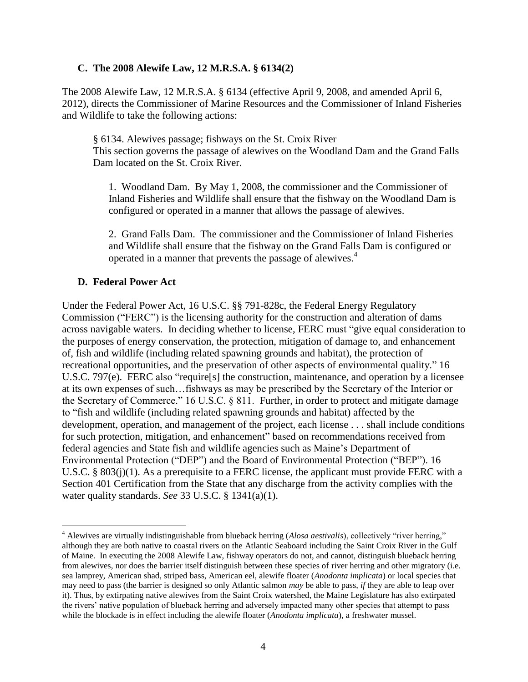### **C. The 2008 Alewife Law, 12 M.R.S.A. § 6134(2)**

The 2008 Alewife Law, 12 M.R.S.A. § 6134 (effective April 9, 2008, and amended April 6, 2012), directs the Commissioner of Marine Resources and the Commissioner of Inland Fisheries and Wildlife to take the following actions:

§ 6134. Alewives passage; fishways on the St. Croix River This section governs the passage of alewives on the Woodland Dam and the Grand Falls Dam located on the St. Croix River.

1. Woodland Dam. By May 1, 2008, the commissioner and the Commissioner of Inland Fisheries and Wildlife shall ensure that the fishway on the Woodland Dam is configured or operated in a manner that allows the passage of alewives.

2. Grand Falls Dam. The commissioner and the Commissioner of Inland Fisheries and Wildlife shall ensure that the fishway on the Grand Falls Dam is configured or operated in a manner that prevents the passage of alewives.<sup>4</sup>

### **D. Federal Power Act**

Under the Federal Power Act, 16 U.S.C. §§ 791-828c, the Federal Energy Regulatory Commission ("FERC") is the licensing authority for the construction and alteration of dams across navigable waters. In deciding whether to license, FERC must "give equal consideration to the purposes of energy conservation, the protection, mitigation of damage to, and enhancement of, fish and wildlife (including related spawning grounds and habitat), the protection of recreational opportunities, and the preservation of other aspects of environmental quality." 16 U.S.C. 797(e). FERC also "require[s] the construction, maintenance, and operation by a licensee at its own expenses of such…fishways as may be prescribed by the Secretary of the Interior or the Secretary of Commerce." 16 U.S.C. § 811. Further, in order to protect and mitigate damage to "fish and wildlife (including related spawning grounds and habitat) affected by the development, operation, and management of the project, each license . . . shall include conditions for such protection, mitigation, and enhancement" based on recommendations received from federal agencies and State fish and wildlife agencies such as Maine's Department of Environmental Protection ("DEP") and the Board of Environmental Protection ("BEP"). 16 U.S.C. §  $803(i)(1)$ . As a prerequisite to a FERC license, the applicant must provide FERC with a Section 401 Certification from the State that any discharge from the activity complies with the water quality standards. *See* 33 U.S.C. § 1341(a)(1).

<sup>1</sup> <sup>4</sup> Alewives are virtually indistinguishable from blueback herring (*Alosa aestivalis*), collectively "river herring," although they are both native to coastal rivers on the Atlantic Seaboard including the Saint Croix River in the Gulf of Maine. In executing the 2008 Alewife Law, fishway operators do not, and cannot, distinguish blueback herring from alewives, nor does the barrier itself distinguish between these species of river herring and other migratory (i.e. sea lamprey, American shad, striped bass, American eel, alewife floater (*Anodonta implicata*) or local species that may need to pass (the barrier is designed so only Atlantic salmon *may* be able to pass, *if* they are able to leap over it). Thus, by extirpating native alewives from the Saint Croix watershed, the Maine Legislature has also extirpated the rivers' native population of blueback herring and adversely impacted many other species that attempt to pass while the blockade is in effect including the alewife floater (*Anodonta implicata*), a freshwater mussel.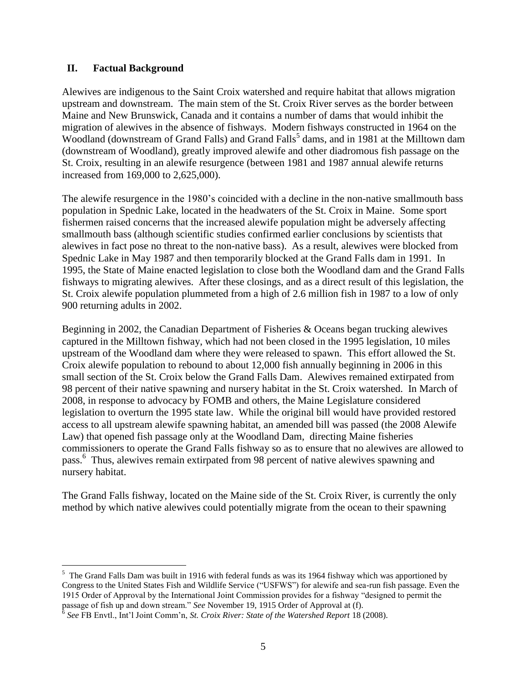### **II. Factual Background**

Alewives are indigenous to the Saint Croix watershed and require habitat that allows migration upstream and downstream. The main stem of the St. Croix River serves as the border between Maine and New Brunswick, Canada and it contains a number of dams that would inhibit the migration of alewives in the absence of fishways. Modern fishways constructed in 1964 on the Woodland (downstream of Grand Falls) and Grand Falls<sup>5</sup> dams, and in 1981 at the Milltown dam (downstream of Woodland), greatly improved alewife and other diadromous fish passage on the St. Croix, resulting in an alewife resurgence (between 1981 and 1987 annual alewife returns increased from 169,000 to 2,625,000).

The alewife resurgence in the 1980's coincided with a decline in the non-native smallmouth bass population in Spednic Lake, located in the headwaters of the St. Croix in Maine. Some sport fishermen raised concerns that the increased alewife population might be adversely affecting smallmouth bass (although scientific studies confirmed earlier conclusions by scientists that alewives in fact pose no threat to the non-native bass). As a result, alewives were blocked from Spednic Lake in May 1987 and then temporarily blocked at the Grand Falls dam in 1991. In 1995, the State of Maine enacted legislation to close both the Woodland dam and the Grand Falls fishways to migrating alewives. After these closings, and as a direct result of this legislation, the St. Croix alewife population plummeted from a high of 2.6 million fish in 1987 to a low of only 900 returning adults in 2002.

Beginning in 2002, the Canadian Department of Fisheries & Oceans began trucking alewives captured in the Milltown fishway, which had not been closed in the 1995 legislation, 10 miles upstream of the Woodland dam where they were released to spawn. This effort allowed the St. Croix alewife population to rebound to about 12,000 fish annually beginning in 2006 in this small section of the St. Croix below the Grand Falls Dam. Alewives remained extirpated from 98 percent of their native spawning and nursery habitat in the St. Croix watershed. In March of 2008, in response to advocacy by FOMB and others, the Maine Legislature considered legislation to overturn the 1995 state law. While the original bill would have provided restored access to all upstream alewife spawning habitat, an amended bill was passed (the 2008 Alewife Law) that opened fish passage only at the Woodland Dam, directing Maine fisheries commissioners to operate the Grand Falls fishway so as to ensure that no alewives are allowed to pass.<sup>6</sup> Thus, alewives remain extirpated from 98 percent of native alewives spawning and nursery habitat.

The Grand Falls fishway, located on the Maine side of the St. Croix River, is currently the only method by which native alewives could potentially migrate from the ocean to their spawning

<sup>&</sup>lt;sup>5</sup> The Grand Falls Dam was built in 1916 with federal funds as was its 1964 fishway which was apportioned by Congress to the United States Fish and Wildlife Service ("USFWS") for alewife and sea-run fish passage. Even the 1915 Order of Approval by the International Joint Commission provides for a fishway "designed to permit the passage of fish up and down stream." *See* November 19, 1915 Order of Approval at (f).

<sup>6</sup> *See* FB Envtl., Int'l Joint Comm'n, *St. Croix River: State of the Watershed Report* 18 (2008).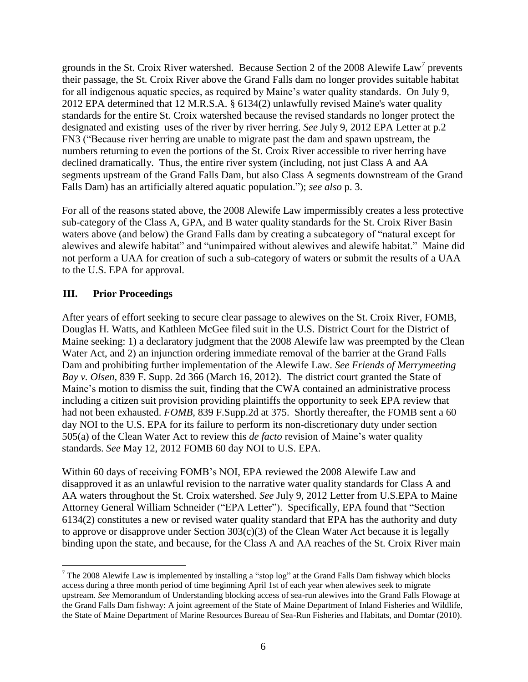grounds in the St. Croix River watershed. Because Section 2 of the 2008 Alewife Law<sup>7</sup> prevents their passage, the St. Croix River above the Grand Falls dam no longer provides suitable habitat for all indigenous aquatic species, as required by Maine's water quality standards. On July 9, 2012 EPA determined that 12 M.R.S.A. § 6134(2) unlawfully revised Maine's water quality standards for the entire St. Croix watershed because the revised standards no longer protect the designated and existing uses of the river by river herring. *See* July 9, 2012 EPA Letter at p.2 FN3 ("Because river herring are unable to migrate past the dam and spawn upstream, the numbers returning to even the portions of the St. Croix River accessible to river herring have declined dramatically. Thus, the entire river system (including, not just Class A and AA segments upstream of the Grand Falls Dam, but also Class A segments downstream of the Grand Falls Dam) has an artificially altered aquatic population."); *see also* p. 3.

For all of the reasons stated above, the 2008 Alewife Law impermissibly creates a less protective sub-category of the Class A, GPA, and B water quality standards for the St. Croix River Basin waters above (and below) the Grand Falls dam by creating a subcategory of "natural except for alewives and alewife habitat" and "unimpaired without alewives and alewife habitat." Maine did not perform a UAA for creation of such a sub-category of waters or submit the results of a UAA to the U.S. EPA for approval.

## **III. Prior Proceedings**

After years of effort seeking to secure clear passage to alewives on the St. Croix River, FOMB, Douglas H. Watts, and Kathleen McGee filed suit in the U.S. District Court for the District of Maine seeking: 1) a declaratory judgment that the 2008 Alewife law was preempted by the Clean Water Act, and 2) an injunction ordering immediate removal of the barrier at the Grand Falls Dam and prohibiting further implementation of the Alewife Law. *See Friends of Merrymeeting Bay v. Olsen*, 839 F. Supp. 2d 366 (March 16, 2012). The district court granted the State of Maine's motion to dismiss the suit, finding that the CWA contained an administrative process including a citizen suit provision providing plaintiffs the opportunity to seek EPA review that had not been exhausted. *FOMB,* 839 F.Supp.2d at 375. Shortly thereafter, the FOMB sent a 60 day NOI to the U.S. EPA for its failure to perform its non-discretionary duty under section 505(a) of the Clean Water Act to review this *de facto* revision of Maine's water quality standards. *See* May 12, 2012 FOMB 60 day NOI to U.S. EPA.

Within 60 days of receiving FOMB's NOI, EPA reviewed the 2008 Alewife Law and disapproved it as an unlawful revision to the narrative water quality standards for Class A and AA waters throughout the St. Croix watershed. *See* July 9, 2012 Letter from U.S.EPA to Maine Attorney General William Schneider ("EPA Letter"). Specifically, EPA found that "Section 6134(2) constitutes a new or revised water quality standard that EPA has the authority and duty to approve or disapprove under Section 303(c)(3) of the Clean Water Act because it is legally binding upon the state, and because, for the Class A and AA reaches of the St. Croix River main

 $\overline{a}$  $7$  The 2008 Alewife Law is implemented by installing a "stop log" at the Grand Falls Dam fishway which blocks access during a three month period of time beginning April 1st of each year when alewives seek to migrate upstream. *See* Memorandum of Understanding blocking access of sea-run alewives into the Grand Falls Flowage at the Grand Falls Dam fishway: A joint agreement of the State of Maine Department of Inland Fisheries and Wildlife, the State of Maine Department of Marine Resources Bureau of Sea-Run Fisheries and Habitats, and Domtar (2010).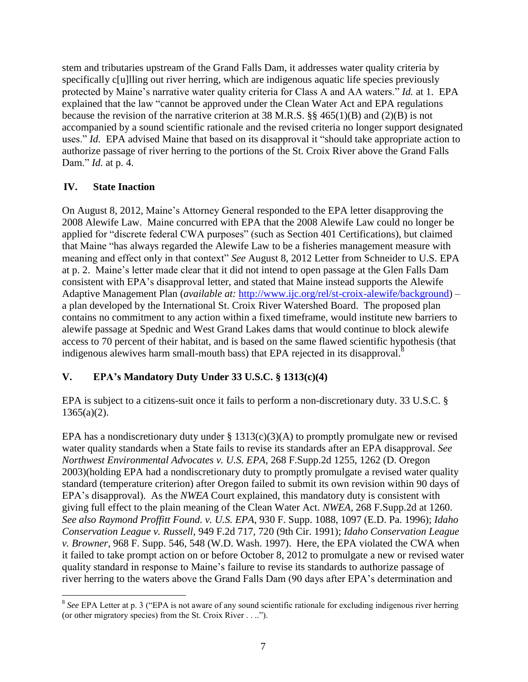stem and tributaries upstream of the Grand Falls Dam, it addresses water quality criteria by specifically c[u]lling out river herring, which are indigenous aquatic life species previously protected by Maine's narrative water quality criteria for Class A and AA waters." *Id.* at 1. EPA explained that the law "cannot be approved under the Clean Water Act and EPA regulations because the revision of the narrative criterion at 38 M.R.S. §§ 465(1)(B) and (2)(B) is not accompanied by a sound scientific rationale and the revised criteria no longer support designated uses." *Id.* EPA advised Maine that based on its disapproval it "should take appropriate action to authorize passage of river herring to the portions of the St. Croix River above the Grand Falls Dam." *Id.* at p. 4.

## **IV. State Inaction**

On August 8, 2012, Maine's Attorney General responded to the EPA letter disapproving the 2008 Alewife Law. Maine concurred with EPA that the 2008 Alewife Law could no longer be applied for "discrete federal CWA purposes" (such as Section 401 Certifications), but claimed that Maine "has always regarded the Alewife Law to be a fisheries management measure with meaning and effect only in that context" *See* August 8, 2012 Letter from Schneider to U.S. EPA at p. 2. Maine's letter made clear that it did not intend to open passage at the Glen Falls Dam consistent with EPA's disapproval letter, and stated that Maine instead supports the Alewife Adaptive Management Plan (*available at:* [http://www.ijc.org/rel/st-croix-alewife/background\)](http://www.ijc.org/rel/st-croix-alewife/background) – a plan developed by the International St. Croix River Watershed Board. The proposed plan contains no commitment to any action within a fixed timeframe, would institute new barriers to alewife passage at Spednic and West Grand Lakes dams that would continue to block alewife access to 70 percent of their habitat, and is based on the same flawed scientific hypothesis (that indigenous alewives harm small-mouth bass) that EPA rejected in its disapproval. ${}^{8}$ 

## **V. EPA's Mandatory Duty Under 33 U.S.C. § 1313(c)(4)**

EPA is subject to a citizens-suit once it fails to perform a non-discretionary duty. 33 U.S.C. §  $1365(a)(2)$ .

EPA has a nondiscretionary duty under  $\S$  1313(c)(3)(A) to promptly promulgate new or revised water quality standards when a State fails to revise its standards after an EPA disapproval. *See Northwest Environmental Advocates v. U.S. EPA*, 268 F.Supp.2d 1255, 1262 (D. Oregon 2003)(holding EPA had a nondiscretionary duty to promptly promulgate a revised water quality standard (temperature criterion) after Oregon failed to submit its own revision within 90 days of EPA's disapproval). As the *NWEA* Court explained, this mandatory duty is consistent with giving full effect to the plain meaning of the Clean Water Act. *NWEA,* 268 F.Supp.2d at 1260. *See also Raymond Proffitt Found. v. U.S. EPA*, 930 F. Supp. 1088, 1097 (E.D. Pa. 1996); *Idaho Conservation League v. Russell*, 949 F.2d 717, 720 (9th Cir. 1991); *Idaho Conservation League v. Browner,* 968 F. Supp. 546, 548 (W.D. Wash. 1997). Here, the EPA violated the CWA when it failed to take prompt action on or before October 8, 2012 to promulgate a new or revised water quality standard in response to Maine's failure to revise its standards to authorize passage of river herring to the waters above the Grand Falls Dam (90 days after EPA's determination and

<sup>&</sup>lt;sup>8</sup> See EPA Letter at p. 3 ("EPA is not aware of any sound scientific rationale for excluding indigenous river herring (or other migratory species) from the St. Croix River . . ..").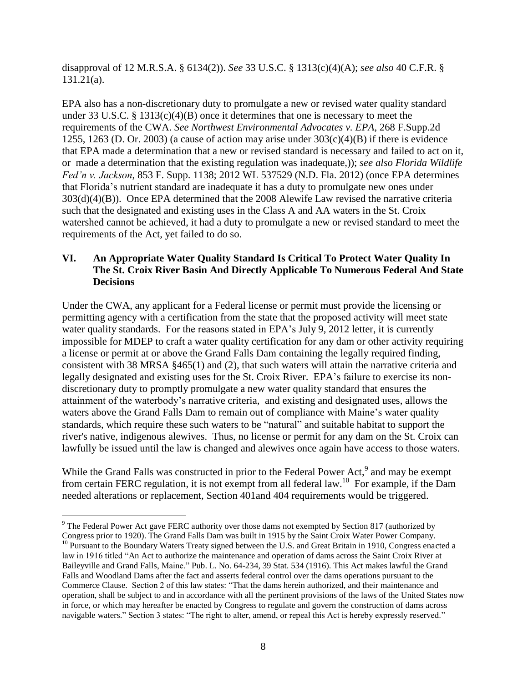disapproval of 12 M.R.S.A. § 6134(2)). *See* 33 U.S.C. § 1313(c)(4)(A); *see also* 40 C.F.R. § 131.21(a).

EPA also has a non-discretionary duty to promulgate a new or revised water quality standard under 33 U.S.C. § 1313(c)(4)(B) once it determines that one is necessary to meet the requirements of the CWA. *See Northwest Environmental Advocates v. EPA*, 268 F.Supp.2d 1255, 1263 (D. Or. 2003) (a cause of action may arise under  $303(c)(4)(B)$  if there is evidence that EPA made a determination that a new or revised standard is necessary and failed to act on it, or made a determination that the existing regulation was inadequate,)); *see also Florida Wildlife Fed'n v. Jackson*, 853 F. Supp. 1138; 2012 WL 537529 (N.D. Fla. 2012) (once EPA determines that Florida's nutrient standard are inadequate it has a duty to promulgate new ones under 303(d)(4)(B)). Once EPA determined that the 2008 Alewife Law revised the narrative criteria such that the designated and existing uses in the Class A and AA waters in the St. Croix watershed cannot be achieved, it had a duty to promulgate a new or revised standard to meet the requirements of the Act, yet failed to do so.

## **VI. An Appropriate Water Quality Standard Is Critical To Protect Water Quality In The St. Croix River Basin And Directly Applicable To Numerous Federal And State Decisions**

Under the CWA, any applicant for a Federal license or permit must provide the licensing or permitting agency with a certification from the state that the proposed activity will meet state water quality standards. For the reasons stated in EPA's July 9, 2012 letter, it is currently impossible for MDEP to craft a water quality certification for any dam or other activity requiring a license or permit at or above the Grand Falls Dam containing the legally required finding, consistent with 38 MRSA §465(1) and (2), that such waters will attain the narrative criteria and legally designated and existing uses for the St. Croix River. EPA's failure to exercise its nondiscretionary duty to promptly promulgate a new water quality standard that ensures the attainment of the waterbody's narrative criteria, and existing and designated uses, allows the waters above the Grand Falls Dam to remain out of compliance with Maine's water quality standards, which require these such waters to be "natural" and suitable habitat to support the river's native, indigenous alewives. Thus, no license or permit for any dam on the St. Croix can lawfully be issued until the law is changed and alewives once again have access to those waters.

While the Grand Falls was constructed in prior to the Federal Power Act,<sup>9</sup> and may be exempt from certain FERC regulation, it is not exempt from all federal law.<sup>10</sup> For example, if the Dam needed alterations or replacement, Section 401and 404 requirements would be triggered.

<sup>1</sup> <sup>9</sup> The Federal Power Act gave FERC authority over those dams not exempted by Section 817 (authorized by Congress prior to 1920). The Grand Falls Dam was built in 1915 by the Saint Croix Water Power Company.

<sup>&</sup>lt;sup>10</sup> Pursuant to the Boundary Waters Treaty signed between the U.S. and Great Britain in 1910, Congress enacted a law in 1916 titled "An Act to authorize the maintenance and operation of dams across the Saint Croix River at Baileyville and Grand Falls, Maine." Pub. L. No. 64-234, 39 Stat. 534 (1916). This Act makes lawful the Grand Falls and Woodland Dams after the fact and asserts federal control over the dams operations pursuant to the Commerce Clause. Section 2 of this law states: "That the dams herein authorized, and their maintenance and operation, shall be subject to and in accordance with all the pertinent provisions of the laws of the United States now in force, or which may hereafter be enacted by Congress to regulate and govern the construction of dams across navigable waters." Section 3 states: "The right to alter, amend, or repeal this Act is hereby expressly reserved."